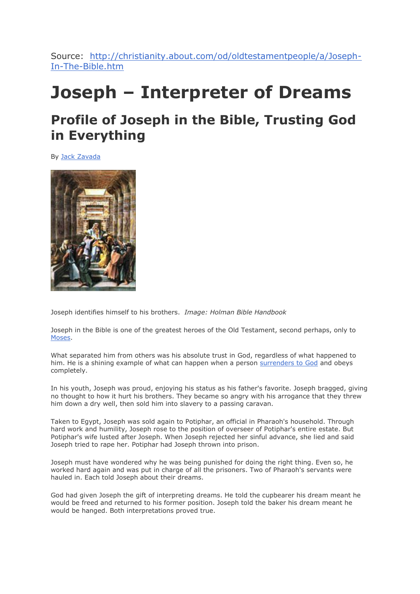Source: [http://christianity.about.com/od/oldtestamentpeople/a/Joseph-](http://christianity.about.com/od/oldtestamentpeople/a/Joseph-In-The-Bible.htm)[In-The-Bible.htm](http://christianity.about.com/od/oldtestamentpeople/a/Joseph-In-The-Bible.htm)

# **Joseph – Interpreter of Dreams**

# **Profile of Joseph in the Bible, Trusting God in Everything**

By [Jack Zavada](http://christianity.about.com/bio/Jack-Zavada-71257.htm)



Joseph identifies himself to his brothers. *Image: Holman Bible Handbook*

Joseph in the Bible is one of the greatest heroes of the Old Testament, second perhaps, only to [Moses.](http://christianity.about.com/od/oldtestamentpeople/a/Moses-Giver-Of-The-Law.htm)

What separated him from others was his absolute trust in God, regardless of what happened to him. He is a shining example of what can happen when a person [surrenders to God](http://christianity.about.com/od/topicaldevotions/a/surrendertogod.htm) and obeys completely.

In his youth, Joseph was proud, enjoying his status as his father's favorite. Joseph bragged, giving no thought to how it hurt his brothers. They became so angry with his arrogance that they threw him down a dry well, then sold him into slavery to a passing caravan.

Taken to Egypt, Joseph was sold again to Potiphar, an official in Pharaoh's household. Through hard work and humility, Joseph rose to the position of overseer of Potiphar's entire estate. But Potiphar's wife lusted after Joseph. When Joseph rejected her sinful advance, she lied and said Joseph tried to rape her. Potiphar had Joseph thrown into prison.

Joseph must have wondered why he was being punished for doing the right thing. Even so, he worked hard again and was put in charge of all the prisoners. Two of Pharaoh's servants were hauled in. Each told Joseph about their dreams.

God had given Joseph the gift of interpreting dreams. He told the cupbearer his dream meant he would be freed and returned to his former position. Joseph told the baker his dream meant he would be hanged. Both interpretations proved true.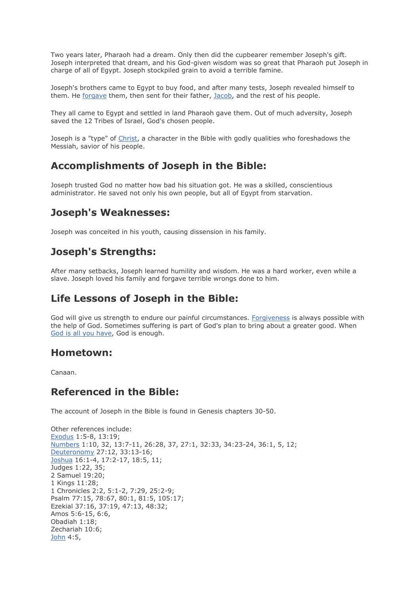Two years later, Pharaoh had a dream. Only then did the cupbearer remember Joseph's gift. Joseph interpreted that dream, and his God-given wisdom was so great that Pharaoh put Joseph in charge of all of Egypt. Joseph stockpiled grain to avoid a terrible famine.

Joseph's brothers came to Egypt to buy food, and after many tests, Joseph revealed himself to them. He [forgave](http://christianity.about.com/od/whatdoesthebiblesay/a/bibleforgivenes.htm) them, then sent for their father, [Jacob,](http://christianity.about.com/od/oldtestamentpeople/a/Jacob-In-The-Bible.htm) and the rest of his people.

They all came to Egypt and settled in land Pharaoh gave them. Out of much adversity, Joseph saved the 12 Tribes of Israel, God's chosen people.

Joseph is a "type" of [Christ,](http://christianity.about.com/od/newtestamentpeople/p/jesuschrist.htm) a character in the Bible with godly qualities who foreshadows the Messiah, savior of his people.

# **Accomplishments of Joseph in the Bible:**

Joseph trusted God no matter how bad his situation got. He was a skilled, conscientious administrator. He saved not only his own people, but all of Egypt from starvation.

# **Joseph's Weaknesses:**

Joseph was conceited in his youth, causing dissension in his family.

# **Joseph's Strengths:**

After many setbacks, Joseph learned humility and wisdom. He was a hard worker, even while a slave. Joseph loved his family and forgave terrible wrongs done to him.

# **Life Lessons of Joseph in the Bible:**

God will give us strength to endure our painful circumstances. [Forgiveness](http://christianity.about.com/od/faqhelpdesk/a/What-Is-Forgiveness.htm) is always possible with the help of God. Sometimes suffering is part of God's plan to bring about a greater good. When [God is all you have,](http://christianity.about.com/od/topicaldevotions/a/jesussuffering.htm) God is enough.

### **Hometown:**

Canaan.

# **Referenced in the Bible:**

The account of Joseph in the Bible is found in Genesis chapters 30-50.

Other references include: [Exodus](http://christianity.about.com/od/oldtestamentbooks/qt/exodusintro.htm) 1:5-8, 13:19; [Numbers](http://christianity.about.com/od/oldtestamentbooks/a/Book-Of-Numbers.htm) 1:10, 32, 13:7-11, 26:28, 37, 27:1, 32:33, 34:23-24, 36:1, 5, 12; Deuteronomy 27:12, 33:13-16; [Joshua](http://christianity.about.com/od/oldtestamentbooks/a/Book-Of-Joshua.htm) 16:1-4, 17:2-17, 18:5, 11; Judges 1:22, 35; 2 Samuel 19:20; 1 Kings 11:28; 1 Chronicles 2:2, 5:1-2, 7:29, 25:2-9; Psalm 77:15, 78:67, 80:1, 81:5, 105:17; Ezekial 37:16, 37:19, 47:13, 48:32; Amos 5:6-15, 6:6, Obadiah 1:18; Zechariah 10:6; [John](http://christianity.about.com/od/newtestamentbooks/qt/gospeljohnintro.htm) 4:5,